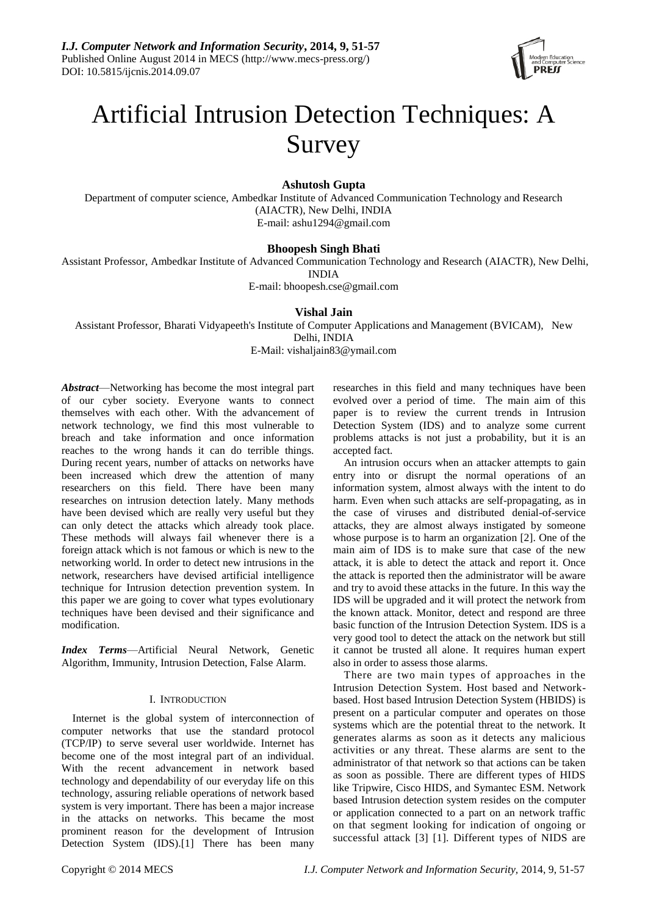

# Artificial Intrusion Detection Techniques: A Survey

**Ashutosh Gupta**

Department of computer science, Ambedkar Institute of Advanced Communication Technology and Research (AIACTR), New Delhi, INDIA E-mail: ashu1294@gmail.com

## **Bhoopesh Singh Bhati**

Assistant Professor, Ambedkar Institute of Advanced Communication Technology and Research (AIACTR), New Delhi, INDIA

E-mail: bhoopesh.cse@gmail.com

## **Vishal Jain**

Assistant Professor, Bharati Vidyapeeth's Institute of Computer Applications and Management (BVICAM), New Delhi, INDIA E-Mail: vishaljain83@ymail.com

*Abstract*—Networking has become the most integral part of our cyber society. Everyone wants to connect themselves with each other. With the advancement of network technology, we find this most vulnerable to breach and take information and once information reaches to the wrong hands it can do terrible things. During recent years, number of attacks on networks have been increased which drew the attention of many researchers on this field. There have been many researches on intrusion detection lately. Many methods have been devised which are really very useful but they can only detect the attacks which already took place. These methods will always fail whenever there is a foreign attack which is not famous or which is new to the networking world. In order to detect new intrusions in the network, researchers have devised artificial intelligence technique for Intrusion detection prevention system. In this paper we are going to cover what types evolutionary techniques have been devised and their significance and modification.

*Index Terms*—Artificial Neural Network, Genetic Algorithm, Immunity, Intrusion Detection, False Alarm.

## I. INTRODUCTION

Internet is the global system of interconnection of computer networks that use the standard protocol (TCP/IP) to serve several user worldwide. Internet has become one of the most integral part of an individual. With the recent advancement in network based technology and dependability of our everyday life on this technology, assuring reliable operations of network based system is very important. There has been a major increase in the attacks on networks. This became the most prominent reason for the development of Intrusion Detection System (IDS).[1] There has been many

researches in this field and many techniques have been evolved over a period of time. The main aim of this paper is to review the current trends in Intrusion Detection System (IDS) and to analyze some current problems attacks is not just a probability, but it is an accepted fact.

An intrusion occurs when an attacker attempts to gain entry into or disrupt the normal operations of an information system, almost always with the intent to do harm. Even when such attacks are self-propagating, as in the case of viruses and distributed denial-of-service attacks, they are almost always instigated by someone whose purpose is to harm an organization [2]. One of the main aim of IDS is to make sure that case of the new attack, it is able to detect the attack and report it. Once the attack is reported then the administrator will be aware and try to avoid these attacks in the future. In this way the IDS will be upgraded and it will protect the network from the known attack. Monitor, detect and respond are three basic function of the Intrusion Detection System. IDS is a very good tool to detect the attack on the network but still it cannot be trusted all alone. It requires human expert also in order to assess those alarms.

There are two main types of approaches in the Intrusion Detection System. Host based and Networkbased. Host based Intrusion Detection System (HBIDS) is present on a particular computer and operates on those systems which are the potential threat to the network. It generates alarms as soon as it detects any malicious activities or any threat. These alarms are sent to the administrator of that network so that actions can be taken as soon as possible. There are different types of HIDS like Tripwire, Cisco HIDS, and Symantec ESM. Network based Intrusion detection system resides on the computer or application connected to a part on an network traffic on that segment looking for indication of ongoing or successful attack [3] [1]. Different types of NIDS are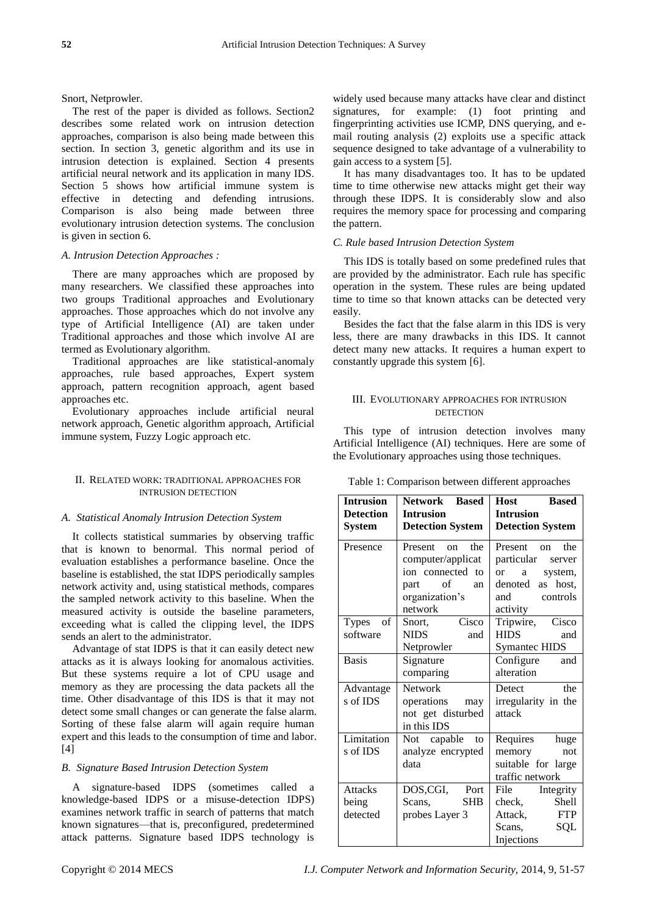Snort, Netprowler.

The rest of the paper is divided as follows. Section2 describes some related work on intrusion detection approaches, comparison is also being made between this section. In section 3, genetic algorithm and its use in intrusion detection is explained. Section 4 presents artificial neural network and its application in many IDS. Section 5 shows how artificial immune system is effective in detecting and defending intrusions. Comparison is also being made between three evolutionary intrusion detection systems. The conclusion is given in section 6.

## *A. Intrusion Detection Approaches :*

There are many approaches which are proposed by many researchers. We classified these approaches into two groups Traditional approaches and Evolutionary approaches. Those approaches which do not involve any type of Artificial Intelligence (AI) are taken under Traditional approaches and those which involve AI are termed as Evolutionary algorithm.

Traditional approaches are like statistical-anomaly approaches, rule based approaches, Expert system approach, pattern recognition approach, agent based approaches etc.

Evolutionary approaches include artificial neural network approach, Genetic algorithm approach, Artificial immune system, Fuzzy Logic approach etc.

## II. RELATED WORK: TRADITIONAL APPROACHES FOR INTRUSION DETECTION

## *A. Statistical Anomaly Intrusion Detection System*

It collects statistical summaries by observing traffic that is known to benormal. This normal period of evaluation establishes a performance baseline. Once the baseline is established, the stat IDPS periodically samples network activity and, using statistical methods, compares the sampled network activity to this baseline. When the measured activity is outside the baseline parameters, exceeding what is called the clipping level, the IDPS sends an alert to the administrator.

Advantage of stat IDPS is that it can easily detect new attacks as it is always looking for anomalous activities. But these systems require a lot of CPU usage and memory as they are processing the data packets all the time. Other disadvantage of this IDS is that it may not detect some small changes or can generate the false alarm. Sorting of these false alarm will again require human expert and this leads to the consumption of time and labor. [4]

## *B. Signature Based Intrusion Detection System*

A signature-based IDPS (sometimes called a knowledge-based IDPS or a misuse-detection IDPS) examines network traffic in search of patterns that match known signatures—that is, preconfigured, predetermined attack patterns. Signature based IDPS technology is

widely used because many attacks have clear and distinct signatures, for example: (1) foot printing and fingerprinting activities use ICMP, DNS querying, and email routing analysis (2) exploits use a specific attack sequence designed to take advantage of a vulnerability to gain access to a system [5].

It has many disadvantages too. It has to be updated time to time otherwise new attacks might get their way through these IDPS. It is considerably slow and also requires the memory space for processing and comparing the pattern.

## *C. Rule based Intrusion Detection System*

This IDS is totally based on some predefined rules that are provided by the administrator. Each rule has specific operation in the system. These rules are being updated time to time so that known attacks can be detected very easily.

Besides the fact that the false alarm in this IDS is very less, there are many drawbacks in this IDS. It cannot detect many new attacks. It requires a human expert to constantly upgrade this system [6].

## III. EVOLUTIONARY APPROACHES FOR INTRUSION **DETECTION**

This type of intrusion detection involves many Artificial Intelligence (AI) techniques. Here are some of the Evolutionary approaches using those techniques.

| <b>Intrusion</b>                    | <b>Network Based</b>                                                                                        | <b>Host</b><br><b>Based</b>                                                                                            |  |
|-------------------------------------|-------------------------------------------------------------------------------------------------------------|------------------------------------------------------------------------------------------------------------------------|--|
| <b>Detection</b>                    | <b>Intrusion</b>                                                                                            | <b>Intrusion</b>                                                                                                       |  |
| <b>System</b>                       | <b>Detection System</b>                                                                                     | <b>Detection System</b>                                                                                                |  |
| Presence                            | Present on<br>the<br>computer/applicat<br>ion connected to<br>of<br>part<br>an<br>organization's<br>network | Present on the<br>particular server<br>a a<br>system,<br><sub>or</sub><br>denoted as host,<br>and controls<br>activity |  |
| of<br>Types<br>software             | Snort, Cisco<br><b>NIDS</b><br>and<br>Netprowler                                                            | Tripwire, Cisco<br><b>HIDS</b><br>and<br><b>Symantec HIDS</b>                                                          |  |
| <b>Basis</b>                        | Signature<br>comparing                                                                                      | Configure and<br>alteration                                                                                            |  |
| Advantage<br>s of IDS               | <b>Network</b><br>operations may<br>not get disturbed<br>in this IDS                                        | the<br>Detect<br>irregularity in the<br>attack                                                                         |  |
| Limitation<br>s of IDS              | Not capable to<br>analyze encrypted<br>data                                                                 | Requires huge<br>not<br>memory<br>suitable for large<br>traffic network                                                |  |
| <b>Attacks</b><br>being<br>detected | DOS,CGI, Port<br>Scans, SHB<br>probes Layer 3                                                               | File Integrity<br>Shell<br>check,<br>Attack, FTP<br>Scans,<br>SQL<br>Injections                                        |  |

Table 1: Comparison between different approaches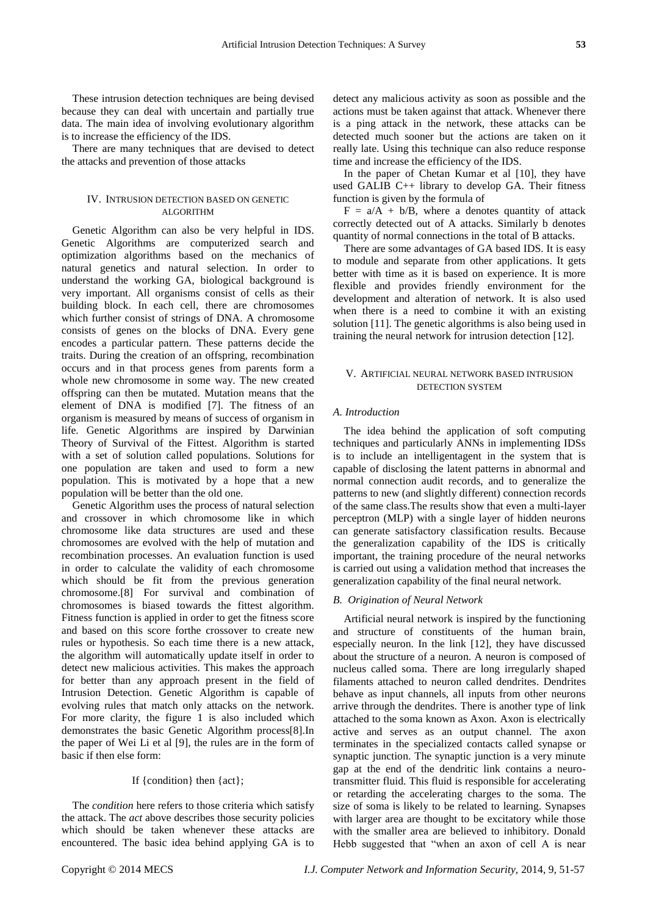These intrusion detection techniques are being devised because they can deal with uncertain and partially true data. The main idea of involving evolutionary algorithm is to increase the efficiency of the IDS.

There are many techniques that are devised to detect the attacks and prevention of those attacks

## IV. INTRUSION DETECTION BASED ON GENETIC ALGORITHM

Genetic Algorithm can also be very helpful in IDS. Genetic Algorithms are computerized search and optimization algorithms based on the mechanics of natural genetics and natural selection. In order to understand the working GA, biological background is very important. All organisms consist of cells as their building block. In each cell, there are chromosomes which further consist of strings of DNA. A chromosome consists of genes on the blocks of DNA. Every gene encodes a particular pattern. These patterns decide the traits. During the creation of an offspring, recombination occurs and in that process genes from parents form a whole new chromosome in some way. The new created offspring can then be mutated. Mutation means that the element of DNA is modified [7]. The fitness of an organism is measured by means of success of organism in life. Genetic Algorithms are inspired by Darwinian Theory of Survival of the Fittest. Algorithm is started with a set of solution called populations. Solutions for one population are taken and used to form a new population. This is motivated by a hope that a new population will be better than the old one.

Genetic Algorithm uses the process of natural selection and crossover in which chromosome like in which chromosome like data structures are used and these chromosomes are evolved with the help of mutation and recombination processes. An evaluation function is used in order to calculate the validity of each chromosome which should be fit from the previous generation chromosome.[8] For survival and combination of chromosomes is biased towards the fittest algorithm. Fitness function is applied in order to get the fitness score and based on this score forthe crossover to create new rules or hypothesis. So each time there is a new attack, the algorithm will automatically update itself in order to detect new malicious activities. This makes the approach for better than any approach present in the field of Intrusion Detection. Genetic Algorithm is capable of evolving rules that match only attacks on the network. For more clarity, the figure 1 is also included which demonstrates the basic Genetic Algorithm process[8].In the paper of Wei Li et al [9], the rules are in the form of basic if then else form:

## If {condition} then {act};

The *condition* here refers to those criteria which satisfy the attack. The *act* above describes those security policies which should be taken whenever these attacks are encountered. The basic idea behind applying GA is to detect any malicious activity as soon as possible and the actions must be taken against that attack. Whenever there is a ping attack in the network, these attacks can be detected much sooner but the actions are taken on it really late. Using this technique can also reduce response time and increase the efficiency of the IDS.

In the paper of Chetan Kumar et al [10], they have used GALIB C++ library to develop GA. Their fitness function is given by the formula of

 $F = a/A + b/B$ , where a denotes quantity of attack correctly detected out of A attacks. Similarly b denotes quantity of normal connections in the total of B attacks.

There are some advantages of GA based IDS. It is easy to module and separate from other applications. It gets better with time as it is based on experience. It is more flexible and provides friendly environment for the development and alteration of network. It is also used when there is a need to combine it with an existing solution [11]. The genetic algorithms is also being used in training the neural network for intrusion detection [12].

### V. ARTIFICIAL NEURAL NETWORK BASED INTRUSION DETECTION SYSTEM

### *A. Introduction*

The idea behind the application of soft computing techniques and particularly ANNs in implementing IDSs is to include an intelligentagent in the system that is capable of disclosing the latent patterns in abnormal and normal connection audit records, and to generalize the patterns to new (and slightly different) connection records of the same class.The results show that even a multi-layer perceptron (MLP) with a single layer of hidden neurons can generate satisfactory classification results. Because the generalization capability of the IDS is critically important, the training procedure of the neural networks is carried out using a validation method that increases the generalization capability of the final neural network.

#### *B. Origination of Neural Network*

Artificial neural network is inspired by the functioning and structure of constituents of the human brain, especially neuron. In the link [12], they have discussed about the structure of a neuron. A neuron is composed of nucleus called soma. There are long irregularly shaped filaments attached to neuron called dendrites. Dendrites behave as input channels, all inputs from other neurons arrive through the dendrites. There is another type of link attached to the soma known as Axon. Axon is electrically active and serves as an output channel. The axon terminates in the specialized contacts called synapse or synaptic junction. The synaptic junction is a very minute gap at the end of the dendritic link contains a neurotransmitter fluid. This fluid is responsible for accelerating or retarding the accelerating charges to the soma. The size of soma is likely to be related to learning. Synapses with larger area are thought to be excitatory while those with the smaller area are believed to inhibitory. Donald Hebb suggested that "when an axon of cell A is near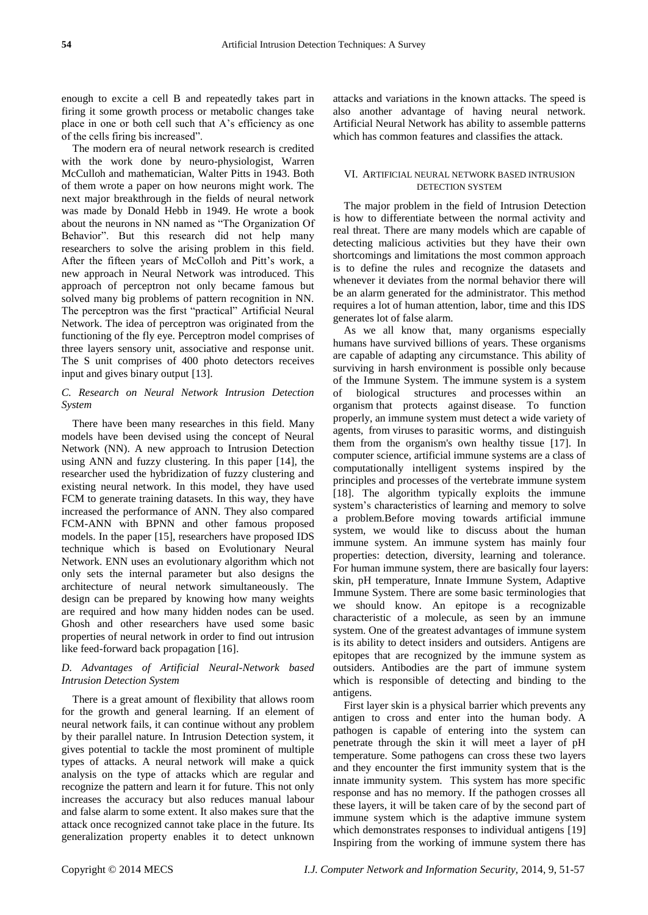enough to excite a cell B and repeatedly takes part in firing it some growth process or metabolic changes take place in one or both cell such that A's efficiency as one of the cells firing bis increased".

The modern era of neural network research is credited with the work done by neuro-physiologist, Warren McCulloh and mathematician, Walter Pitts in 1943. Both of them wrote a paper on how neurons might work. The next major breakthrough in the fields of neural network was made by Donald Hebb in 1949. He wrote a book about the neurons in NN named as "The Organization Of Behavior". But this research did not help many researchers to solve the arising problem in this field. After the fifteen years of McColloh and Pitt's work, a new approach in Neural Network was introduced. This approach of perceptron not only became famous but solved many big problems of pattern recognition in NN. The perceptron was the first "practical" Artificial Neural Network. The idea of perceptron was originated from the functioning of the fly eye. Perceptron model comprises of three layers sensory unit, associative and response unit. The S unit comprises of 400 photo detectors receives input and gives binary output [13].

## *C. Research on Neural Network Intrusion Detection System*

There have been many researches in this field. Many models have been devised using the concept of Neural Network (NN). A new approach to Intrusion Detection using ANN and fuzzy clustering. In this paper [14], the researcher used the hybridization of fuzzy clustering and existing neural network. In this model, they have used FCM to generate training datasets. In this way, they have increased the performance of ANN. They also compared FCM-ANN with BPNN and other famous proposed models. In the paper [15], researchers have proposed IDS technique which is based on Evolutionary Neural Network. ENN uses an evolutionary algorithm which not only sets the internal parameter but also designs the architecture of neural network simultaneously. The design can be prepared by knowing how many weights are required and how many hidden nodes can be used. Ghosh and other researchers have used some basic properties of neural network in order to find out intrusion like feed-forward back propagation [16].

## *D. Advantages of Artificial Neural-Network based Intrusion Detection System*

There is a great amount of flexibility that allows room for the growth and general learning. If an element of neural network fails, it can continue without any problem by their parallel nature. In Intrusion Detection system, it gives potential to tackle the most prominent of multiple types of attacks. A neural network will make a quick analysis on the type of attacks which are regular and recognize the pattern and learn it for future. This not only increases the accuracy but also reduces manual labour and false alarm to some extent. It also makes sure that the attack once recognized cannot take place in the future. Its generalization property enables it to detect unknown

attacks and variations in the known attacks. The speed is also another advantage of having neural network. Artificial Neural Network has ability to assemble patterns which has common features and classifies the attack.

## VI. ARTIFICIAL NEURAL NETWORK BASED INTRUSION DETECTION SYSTEM

The major problem in the field of Intrusion Detection is how to differentiate between the normal activity and real threat. There are many models which are capable of detecting malicious activities but they have their own shortcomings and limitations the most common approach is to define the rules and recognize the datasets and whenever it deviates from the normal behavior there will be an alarm generated for the administrator. This method requires a lot of human attention, labor, time and this IDS generates lot of false alarm.

As we all know that, many organisms especially humans have survived billions of years. These organisms are capable of adapting any circumstance. This ability of surviving in harsh environment is possible only because of the Immune System. The immune system is a system of biological structures and processes within an organism that protects against disease. To function properly, an immune system must detect a wide variety of agents, from viruses to parasitic worms, and distinguish them from the organism's own healthy tissue [17]. In computer science, artificial immune systems are a class of computationally intelligent systems inspired by the principles and processes of the vertebrate immune system [18]. The algorithm typically exploits the immune system's characteristics of learning and memory to solve a problem.Before moving towards artificial immune system, we would like to discuss about the human immune system. An immune system has mainly four properties: detection, diversity, learning and tolerance. For human immune system, there are basically four layers: skin, pH temperature, Innate Immune System, Adaptive Immune System. There are some basic terminologies that we should know. An epitope is a recognizable characteristic of a molecule, as seen by an immune system. One of the greatest advantages of immune system is its ability to detect insiders and outsiders. Antigens are epitopes that are recognized by the immune system as outsiders. Antibodies are the part of immune system which is responsible of detecting and binding to the antigens.

First layer skin is a physical barrier which prevents any antigen to cross and enter into the human body. A pathogen is capable of entering into the system can penetrate through the skin it will meet a layer of pH temperature. Some pathogens can cross these two layers and they encounter the first immunity system that is the innate immunity system. This system has more specific response and has no memory. If the pathogen crosses all these layers, it will be taken care of by the second part of immune system which is the adaptive immune system which demonstrates responses to individual antigens [19] Inspiring from the working of immune system there has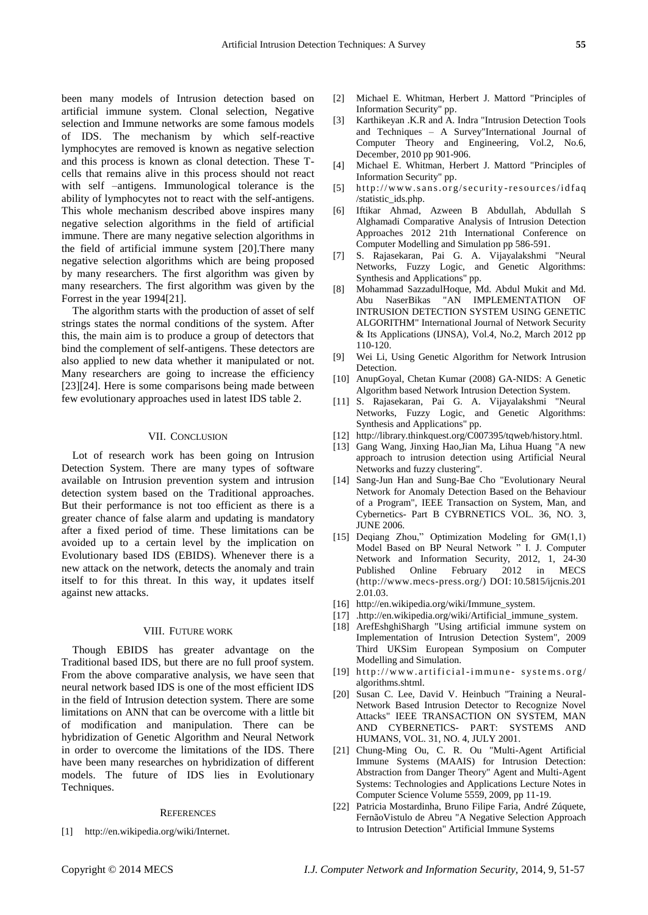been many models of Intrusion detection based on artificial immune system. Clonal selection, Negative selection and Immune networks are some famous models of IDS. The mechanism by which self-reactive lymphocytes are removed is known as negative selection and this process is known as clonal detection. These Tcells that remains alive in this process should not react with self –antigens. Immunological tolerance is the ability of lymphocytes not to react with the self-antigens. This whole mechanism described above inspires many negative selection algorithms in the field of artificial immune. There are many negative selection algorithms in the field of artificial immune system [20].There many negative selection algorithms which are being proposed by many researchers. The first algorithm was given by many researchers. The first algorithm was given by the Forrest in the year 1994[21].

The algorithm starts with the production of asset of self strings states the normal conditions of the system. After this, the main aim is to produce a group of detectors that bind the complement of self-antigens. These detectors are also applied to new data whether it manipulated or not. Many researchers are going to increase the efficiency [23][24]. Here is some comparisons being made between few evolutionary approaches used in latest IDS table 2.

### VII. CONCLUSION

Lot of research work has been going on Intrusion Detection System. There are many types of software available on Intrusion prevention system and intrusion detection system based on the Traditional approaches. But their performance is not too efficient as there is a greater chance of false alarm and updating is mandatory after a fixed period of time. These limitations can be avoided up to a certain level by the implication on Evolutionary based IDS (EBIDS). Whenever there is a new attack on the network, detects the anomaly and train itself to for this threat. In this way, it updates itself against new attacks.

#### VIII. FUTURE WORK

Though EBIDS has greater advantage on the Traditional based IDS, but there are no full proof system. From the above comparative analysis, we have seen that neural network based IDS is one of the most efficient IDS in the field of Intrusion detection system. There are some limitations on ANN that can be overcome with a little bit of modification and manipulation. There can be hybridization of Genetic Algorithm and Neural Network in order to overcome the limitations of the IDS. There have been many researches on hybridization of different models. The future of IDS lies in Evolutionary Techniques.

#### **REFERENCES**

[1] http://en.wikipedia.org/wiki/Internet.

- [2] Michael E. Whitman, Herbert J. Mattord "Principles of Information Security" pp.
- [3] Karthikeyan .K.R and A. Indra "Intrusion Detection Tools and Techniques – A Survey"International Journal of Computer Theory and Engineering, Vol.2, No.6, December, 2010 pp 901-906.
- [4] Michael E. Whitman, Herbert J. Mattord "Principles of Information Security" pp.
- [5] http://www.sans.org/security-resources/idfaq /statistic\_ids.php.
- [6] Iftikar Ahmad, Azween B Abdullah, Abdullah S Alghamadi Comparative Analysis of Intrusion Detection Approaches 2012 21th International Conference on Computer Modelling and Simulation pp 586-591.
- [7] S. Rajasekaran, Pai G. A. Vijayalakshmi "Neural Networks, Fuzzy Logic, and Genetic Algorithms: Synthesis and Applications" pp.
- [8] Mohammad SazzadulHoque, Md. Abdul Mukit and Md. Abu NaserBikas "AN IMPLEMENTATION OF INTRUSION DETECTION SYSTEM USING GENETIC ALGORITHM" International Journal of Network Security & Its Applications (IJNSA), Vol.4, No.2, March 2012 pp 110-120.
- [9] Wei Li, Using Genetic Algorithm for Network Intrusion Detection.
- [10] AnupGoyal, Chetan Kumar (2008) GA-NIDS: A Genetic Algorithm based Network Intrusion Detection System.
- [11] S. Rajasekaran, Pai G. A. Vijayalakshmi "Neural Networks, Fuzzy Logic, and Genetic Algorithms: Synthesis and Applications" pp.
- [12] http://library.thinkquest.org/C007395/tqweb/history.html.
- [13] Gang Wang, Jinxing Hao,Jian Ma, Lihua Huang "A new approach to intrusion detection using Artificial Neural Networks and fuzzy clustering".
- [14] Sang-Jun Han and Sung-Bae Cho "Evolutionary Neural Network for Anomaly Detection Based on the Behaviour of a Program", IEEE Transaction on System, Man, and Cybernetics- Part B CYBRNETICS VOL. 36, NO. 3, JUNE 2006.
- [15] Deqiang Zhou," Optimization Modeling for  $GM(1,1)$ Model Based on BP Neural Network " I. J. Computer Network and Information Security, 2012, 1, 24-30 Published Online February 2012 in MECS (http://www.mecs-press.org/) DOI: 10.5815/ijcnis.201 2.01.03.
- [16] http://en.wikipedia.org/wiki/Immune system.
- [17] .http://en.wikipedia.org/wiki/Artificial immune system.
- [18] ArefEshghiShargh "Using artificial immune system on Implementation of Intrusion Detection System", 2009 Third UKSim European Symposium on Computer Modelling and Simulation.
- $[19]$  http://www.artificial-immune-systems.org/ algorithms.shtml.
- [20] Susan C. Lee, David V. Heinbuch "Training a Neural-Network Based Intrusion Detector to Recognize Novel Attacks" IEEE TRANSACTION ON SYSTEM, MAN AND CYBERNETICS- PART: SYSTEMS AND HUMANS, VOL. 31, NO. 4, JULY 2001.
- [21] Chung-Ming Ou, C. R. Ou "Multi-Agent Artificial Immune Systems (MAAIS) for Intrusion Detection: Abstraction from Danger Theory" Agent and Multi-Agent Systems: Technologies and Applications Lecture Notes in Computer Science Volume 5559, 2009, pp 11-19.
- [22] Patricia Mostardinha, Bruno Filipe Faria, André Zúquete, FernãoVistulo de Abreu "A Negative Selection Approach to Intrusion Detection" Artificial Immune Systems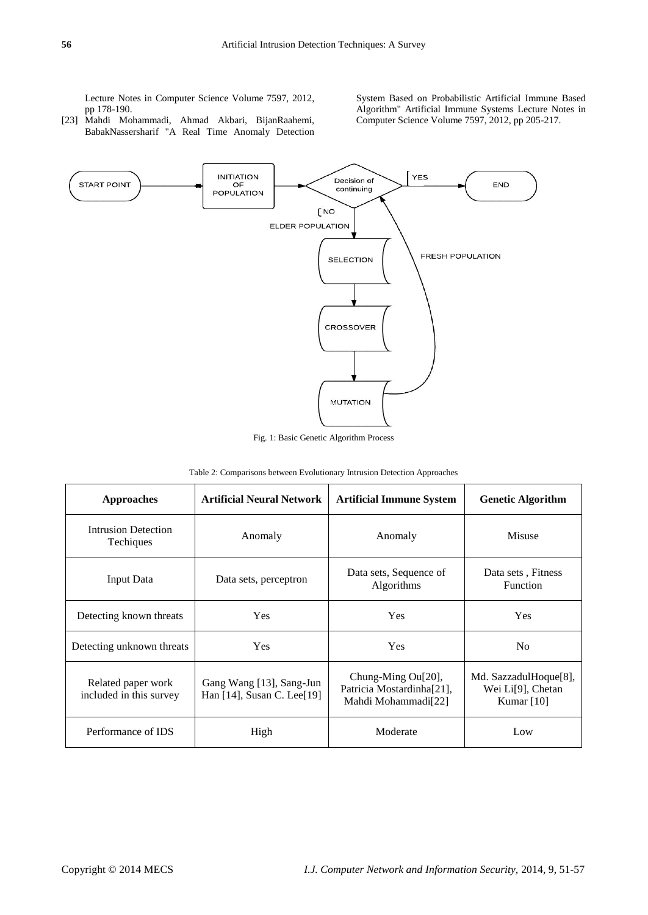Lecture Notes in Computer Science Volume 7597, 2012, pp 178-190.

[23] Mahdi Mohammadi, Ahmad Akbari, BijanRaahemi, BabakNassersharif "A Real Time Anomaly Detection

System Based on Probabilistic Artificial Immune Based Algorithm" Artificial Immune Systems Lecture Notes in Computer Science Volume 7597, 2012, pp 205-217.



Fig. 1: Basic Genetic Algorithm Process

|  | Table 2: Comparisons between Evolutionary Intrusion Detection Approaches |  |
|--|--------------------------------------------------------------------------|--|
|--|--------------------------------------------------------------------------|--|

| Approaches                                    | <b>Artificial Neural Network</b>                       | <b>Artificial Immune System</b>                                        | <b>Genetic Algorithm</b>                                                             |
|-----------------------------------------------|--------------------------------------------------------|------------------------------------------------------------------------|--------------------------------------------------------------------------------------|
| <b>Intrusion Detection</b><br>Techiques       | Anomaly                                                | Anomaly                                                                | Misuse                                                                               |
| <b>Input Data</b>                             | Data sets, perceptron                                  | Data sets, Sequence of<br>Algorithms                                   | Data sets, Fitness<br>Function                                                       |
| Detecting known threats                       | Yes                                                    | Yes                                                                    | Yes                                                                                  |
| Detecting unknown threats                     | <b>Yes</b>                                             | Yes                                                                    | N <sub>0</sub>                                                                       |
| Related paper work<br>included in this survey | Gang Wang [13], Sang-Jun<br>Han [14], Susan C. Lee[19] | Chung-Ming Ou[20],<br>Patricia Mostardinha[21],<br>Mahdi Mohammadi[22] | Md. SazzadulHoque <sup>[8]</sup> ,<br>Wei Li <sup>[9]</sup> , Chetan<br>Kumar $[10]$ |
| Performance of IDS                            | High                                                   | Moderate                                                               | Low                                                                                  |